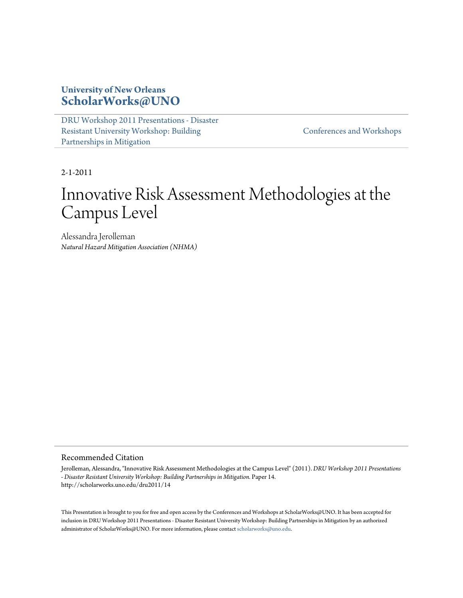#### **University of New Orleans [ScholarWorks@UNO](http://scholarworks.uno.edu)**

[DRU Workshop 2011 Presentations - Disaster](http://scholarworks.uno.edu/dru2011) [Resistant University Workshop: Building](http://scholarworks.uno.edu/dru2011) [Partnerships in Mitigation](http://scholarworks.uno.edu/dru2011)

[Conferences and Workshops](http://scholarworks.uno.edu/chart_conf)

2-1-2011

#### Innovative Risk Assessment Methodologies at the Campus Level

Alessandra Jerolleman *Natural Hazard Mitigation Association (NHMA)*

#### Recommended Citation

Jerolleman, Alessandra, "Innovative Risk Assessment Methodologies at the Campus Level" (2011). *DRU Workshop 2011 Presentations - Disaster Resistant University Workshop: Building Partnerships in Mitigation.* Paper 14. http://scholarworks.uno.edu/dru2011/14

This Presentation is brought to you for free and open access by the Conferences and Workshops at ScholarWorks@UNO. It has been accepted for inclusion in DRU Workshop 2011 Presentations - Disaster Resistant University Workshop: Building Partnerships in Mitigation by an authorized administrator of ScholarWorks@UNO. For more information, please contact [scholarworks@uno.edu.](mailto:scholarworks@uno.edu)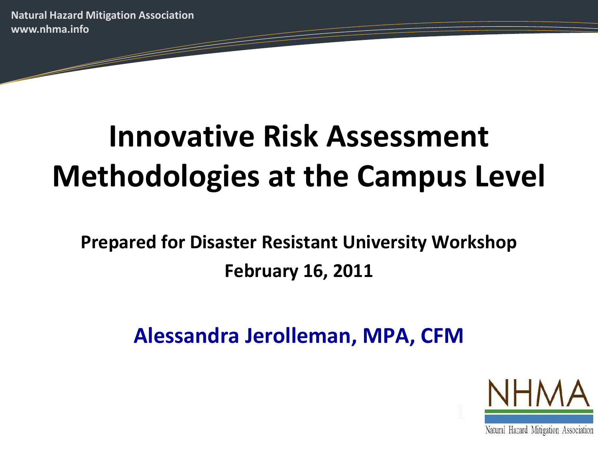# **Innovative Risk Assessment Methodologies at the Campus Level**

**Prepared for Disaster Resistant University Workshop February 16, 2011**

**Alessandra Jerolleman, MPA, CFM**



Natural Hazard Mitigation Association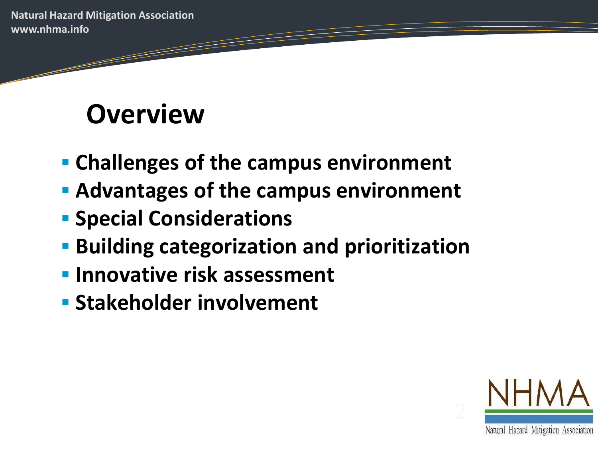## **Overview**

- **Challenges of the campus environment**
- **Advantages of the campus environment**
- **Special Considerations**
- **Building categorization and prioritization**
- **Innovative risk assessment**
- **Stakeholder involvement**

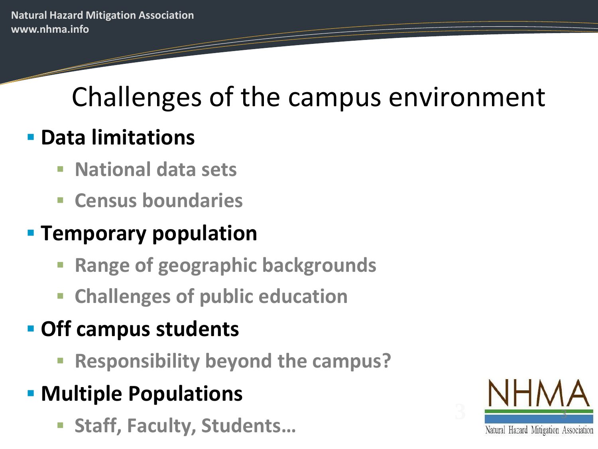# Challenges of the campus environment

#### **Data limitations**

- **National data sets**
- **E** Census boundaries

#### **Temporary population**

- **Range of geographic backgrounds**
- **Challenges of public education**

### **Off campus students**

- **Responsibility beyond the campus?**
- **Multiple Populations** 
	- **Staff, Faculty, Students…**

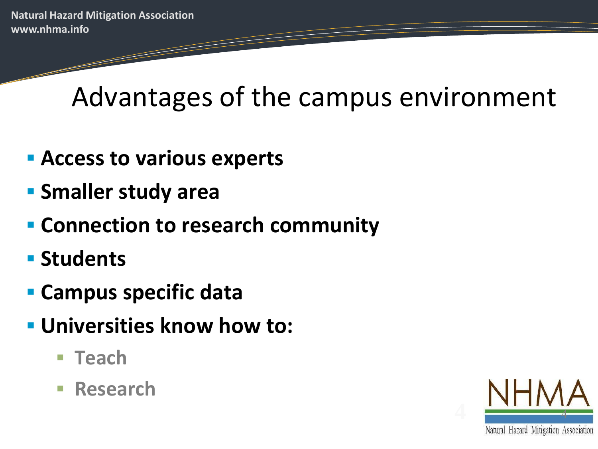Advantages of the campus environment

- **Access to various experts**
- **Smaller study area**
- **Connection to research community**
- **E** Students
- **Campus specific data**
- **Universities know how to:**
	- Teach
	- **Research**

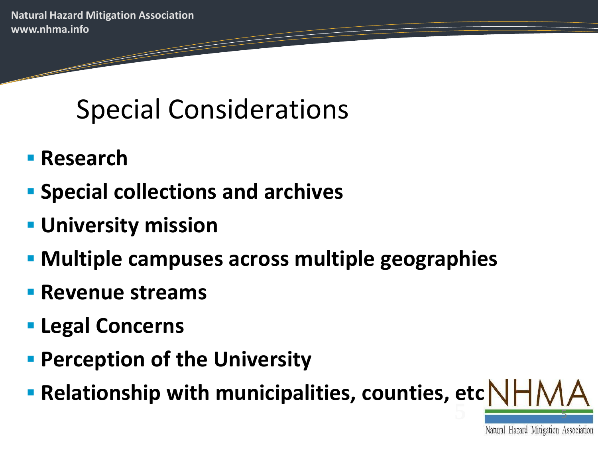# Special Considerations

- **Research**
- **Special collections and archives**
- **University mission**
- **Multiple campuses across multiple geographies**
- **Revenue streams**
- **Legal Concerns**
- **Perception of the University**
- **5** <sup>5</sup> **Relationship with municipalities, counties, etc**

Natural Hazard Mitigation Association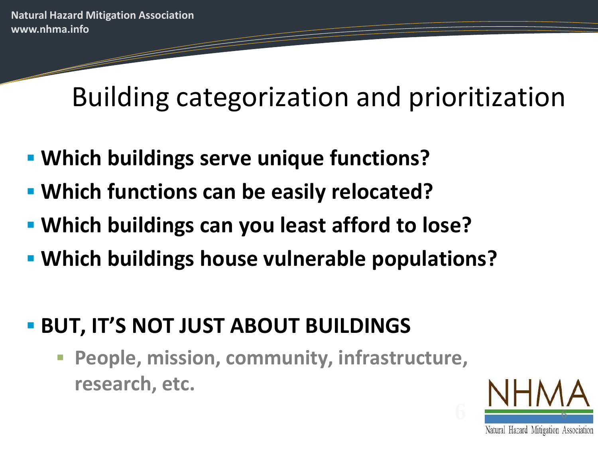Building categorization and prioritization

- **Which buildings serve unique functions?**
- **Which functions can be easily relocated?**
- **Which buildings can you least afford to lose?**
- **Which buildings house vulnerable populations?**
- **BUT, IT'S NOT JUST ABOUT BUILDINGS** 
	- **People, mission, community, infrastructure, research, etc.**

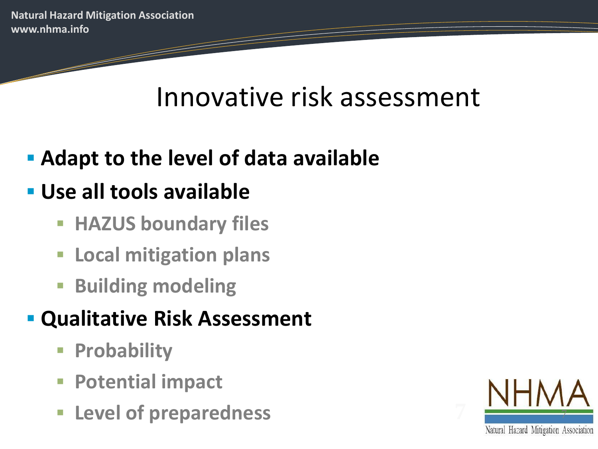## Innovative risk assessment

## **Adapt to the level of data available**

## **Use all tools available**

- **HAZUS boundary files**
- **Local mitigation plans**
- **Building modeling**

### **Qualitative Risk Assessment**

- **Probability**
- **Potential impact**
- **Level of preparedness**

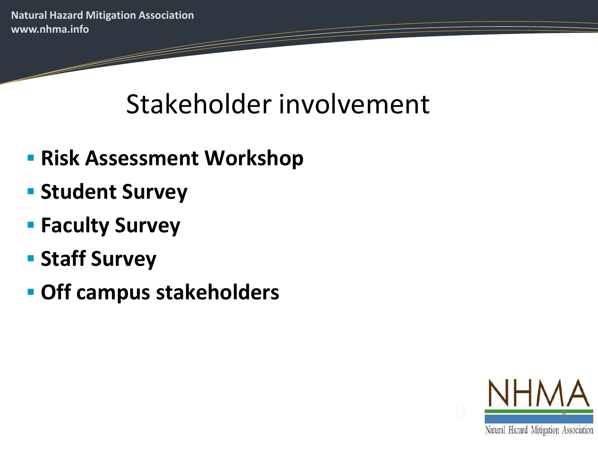## Stakeholder involvement

- **Risk Assessment Workshop**
- **Student Survey**
- **Faculty Survey**
- **F** Staff Survey
- **Off campus stakeholders**